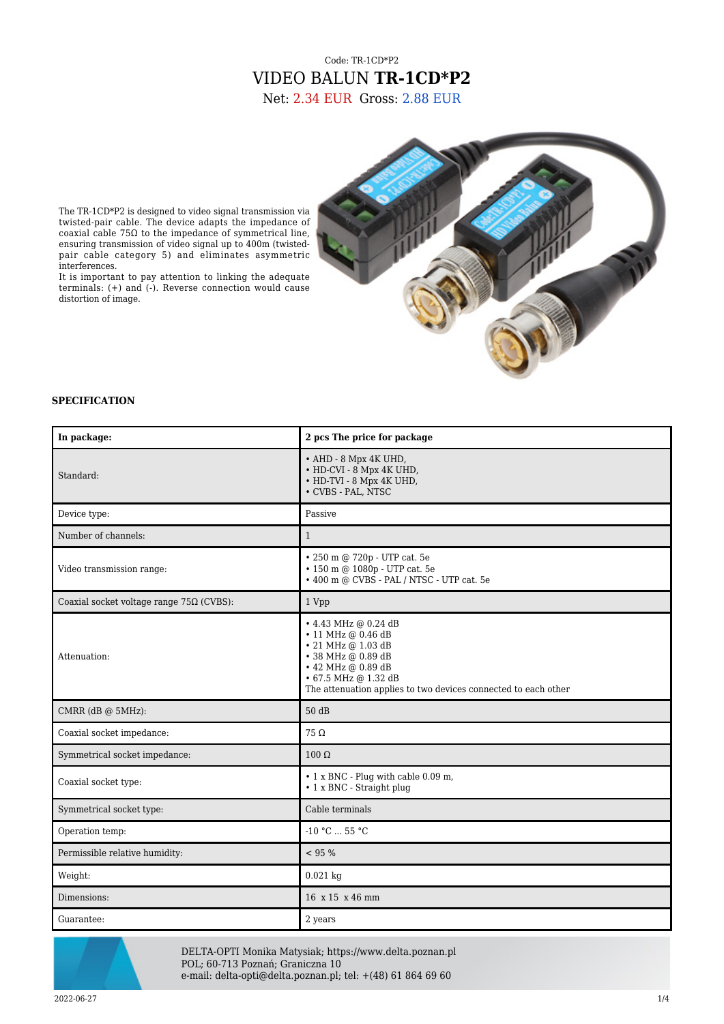## Code: TR-1CD\*P2 VIDEO BALUN **TR-1CD\*P2** Net: 2.34 EUR Gross: 2.88 EUR



The TR-1CD\*P2 is designed to video signal transmission via twisted-pair cable. The device adapts the impedance of coaxial cable 75Ω to the impedance of symmetrical line, ensuring transmission of video signal up to 400m (twistedpair cable category 5) and eliminates asymmetric interferences.

It is important to pay attention to linking the adequate terminals: (+) and (-). Reverse connection would cause distortion of image.

## **SPECIFICATION**

| In package:                                     | 2 pcs The price for package                                                                                                                                                                                  |
|-------------------------------------------------|--------------------------------------------------------------------------------------------------------------------------------------------------------------------------------------------------------------|
| Standard:                                       | • AHD - 8 Mpx 4K UHD,<br>• HD-CVI - 8 Mpx 4K UHD,<br>• HD-TVI - 8 Mpx 4K UHD,<br>• CVBS - PAL, NTSC                                                                                                          |
| Device type:                                    | Passive                                                                                                                                                                                                      |
| Number of channels:                             | $\mathbf{1}$                                                                                                                                                                                                 |
| Video transmission range:                       | • 250 m @ 720p - UTP cat. 5e<br>• 150 m @ 1080p - UTP cat. 5e<br>• 400 m @ CVBS - PAL / NTSC - UTP cat. 5e                                                                                                   |
| Coaxial socket voltage range $75\Omega$ (CVBS): | 1 Vpp                                                                                                                                                                                                        |
| Attenuation:                                    | • 4.43 MHz @ 0.24 dB<br>• 11 MHz @ 0.46 dB<br>$\cdot$ 21 MHz @ 1.03 dB<br>• 38 MHz @ 0.89 dB<br>• 42 MHz @ 0.89 dB<br>• 67.5 MHz @ 1.32 dB<br>The attenuation applies to two devices connected to each other |
| CMRR (dB @ 5MHz):                               | 50 dB                                                                                                                                                                                                        |
| Coaxial socket impedance:                       | $75 \Omega$                                                                                                                                                                                                  |
| Symmetrical socket impedance:                   | $100 \Omega$                                                                                                                                                                                                 |
| Coaxial socket type:                            | • 1 x BNC - Plug with cable 0.09 m,<br>• 1 x BNC - Straight plug                                                                                                                                             |
| Symmetrical socket type:                        | Cable terminals                                                                                                                                                                                              |
| Operation temp:                                 | -10 °C $\ldots$ 55 °C                                                                                                                                                                                        |
| Permissible relative humidity:                  | < 95 %                                                                                                                                                                                                       |
| Weight:                                         | $0.021$ kg                                                                                                                                                                                                   |
| Dimensions:                                     | 16 x 15 x 46 mm                                                                                                                                                                                              |
| Guarantee:                                      | 2 years                                                                                                                                                                                                      |



DELTA-OPTI Monika Matysiak; https://www.delta.poznan.pl POL; 60-713 Poznań; Graniczna 10 e-mail: delta-opti@delta.poznan.pl; tel: +(48) 61 864 69 60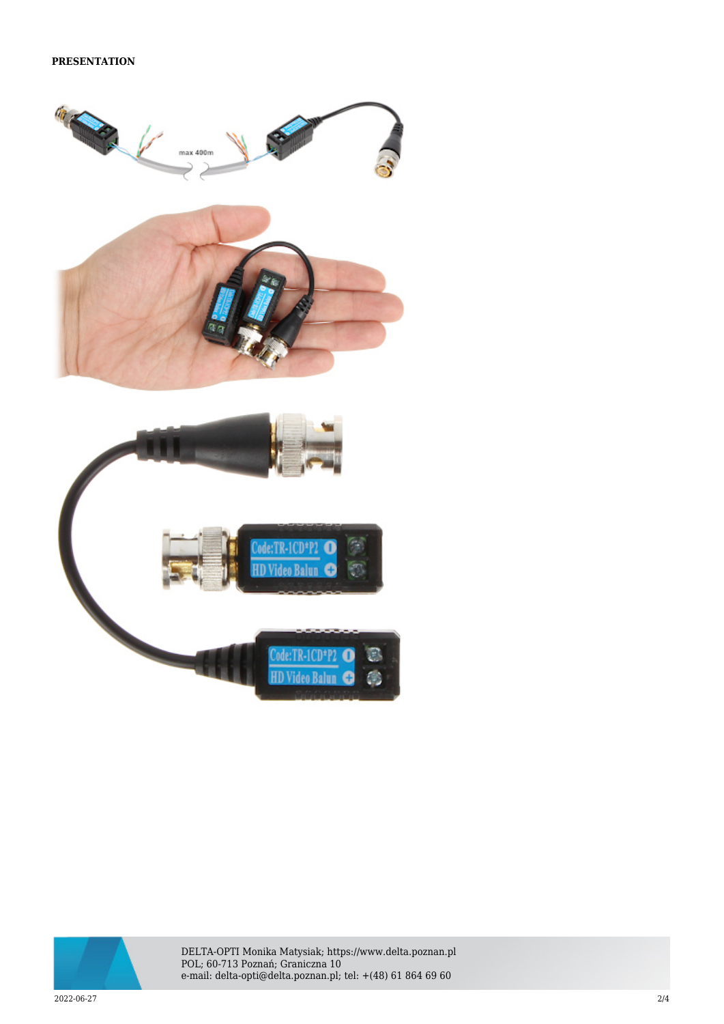





DELTA-OPTI Monika Matysiak; https://www.delta.poznan.pl POL; 60-713 Poznań; Graniczna 10 e-mail: delta-opti@delta.poznan.pl; tel: +(48) 61 864 69 60

2022-06-27 2/4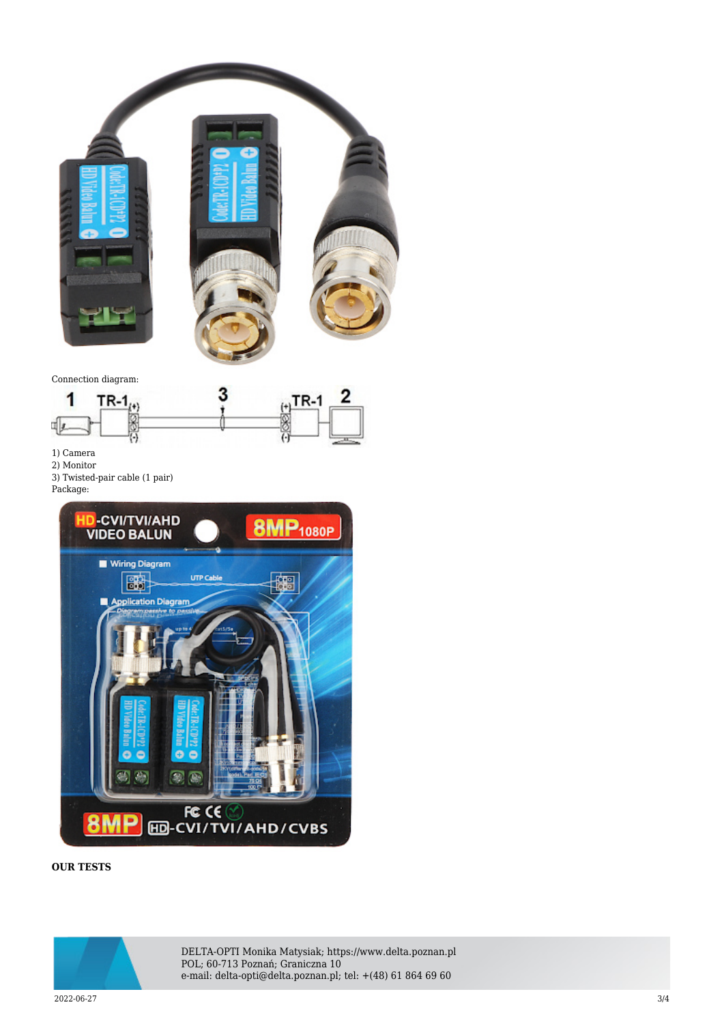

Connection diagram:



1) Camera

- 2) Monitor
- 3) Twisted-pair cable (1 pair)
- Package:



## **OUR TESTS**



DELTA-OPTI Monika Matysiak; https://www.delta.poznan.pl POL; 60-713 Poznań; Graniczna 10 e-mail: delta-opti@delta.poznan.pl; tel: +(48) 61 864 69 60

2022-06-27 3/4